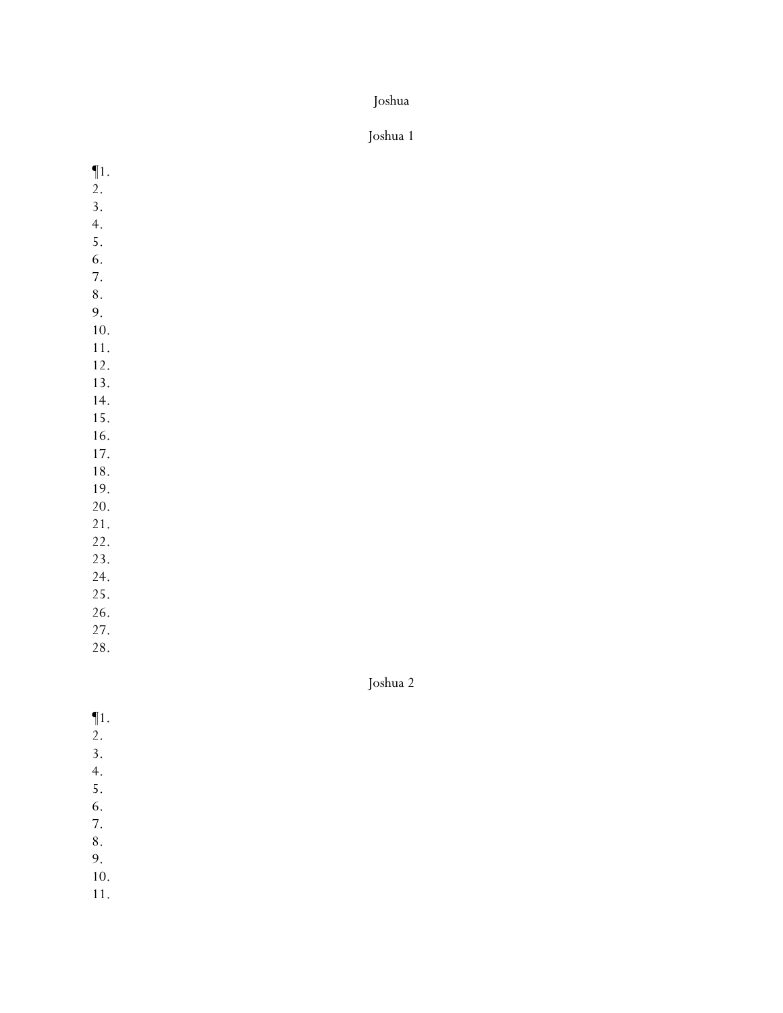Joshua 1

- ¶1.
- 2.
- 3.
- 4.
- 5.
- 6.
- 7. 8.
- 9.
- 10.
- 11.
- 12.
- 13.
- 14.
- 15. 16.
- 17.
- 18.
- 19.
- 20.
- 21. 22.
- 23.
- 24.
- 25.
- 26.
- 27.
- 28.

- ¶1. 2. 3. 4. 5. 6. 7. 8. 9.
- 10.
- 11.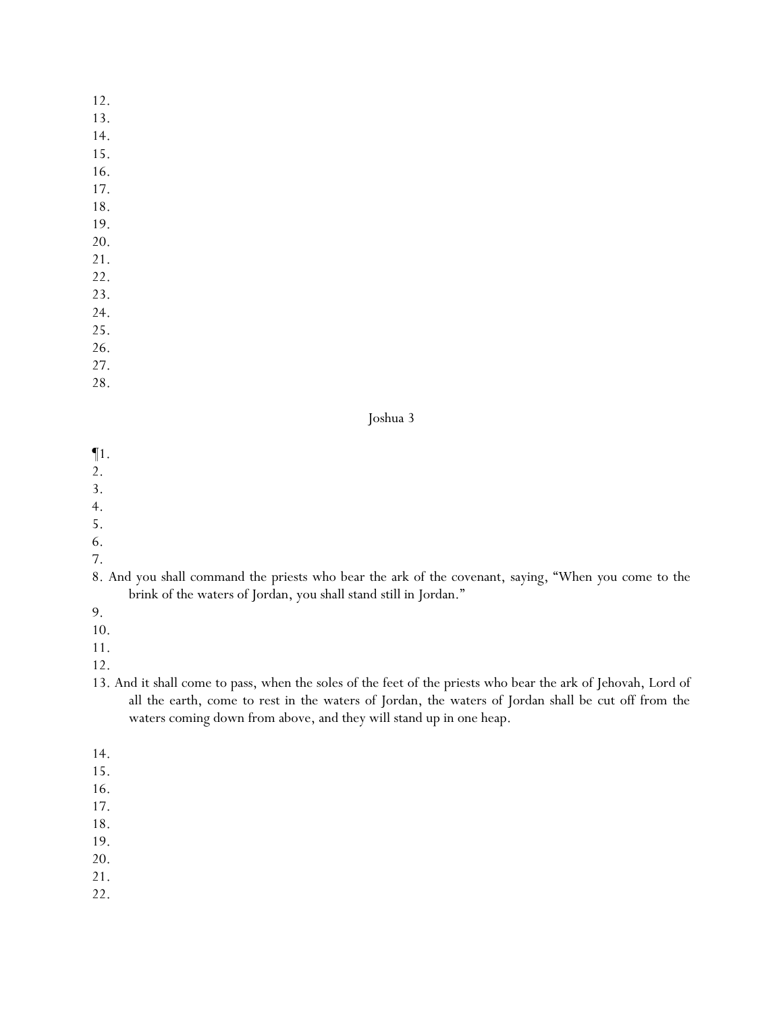- 13.
- 14.
- 15.
- 16.
- 17.
- 18.
- 19.
- 20.
- 21. 22.
- 23.
- 24.
- 25.
- 26.
- 27.

28.

#### Joshua 3

- ¶1.
- 2.
- 3.
- 4.
- 5.
- 6.
- 7.

9.

10.

11.

12.

13. And it shall come to pass, when the soles of the feet of the priests who bear the ark of Jehovah, Lord of all the earth, come to rest in the waters of Jordan, the waters of Jordan shall be cut off from the waters coming down from above, and they will stand up in one heap.

14.

15.

16.

17.

18.

19.

20.

21.

22.

<sup>8.</sup> And you shall command the priests who bear the ark of the covenant, saying, "When *y*ou come to the brink of the waters of Jordan, you shall stand still in Jordan."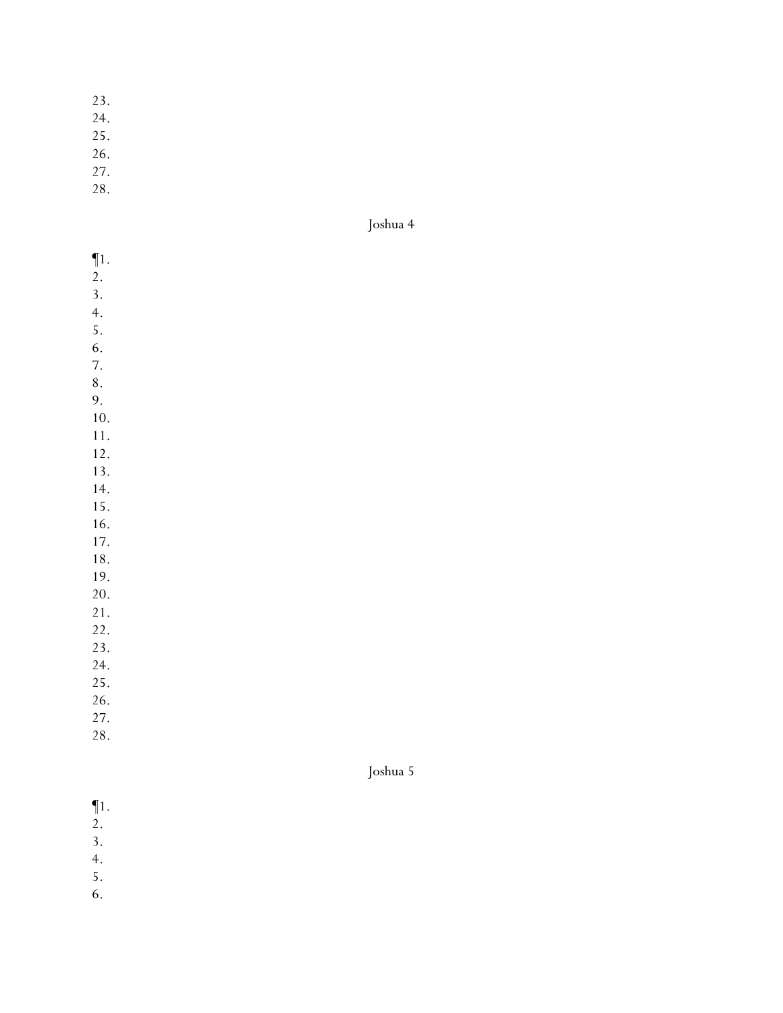- 23.
- 24.
- 25.
- 26.
- 27.
- 28.

- ¶1.
- $\overline{2}$ .
- 3.
- 4.
- 5.
- 6. 7.
- 8.
- 9.
- 10.
- 11.
- 12.
- 13.
- 14. 15.
- 16.
- 17.
- 18.
- 19.
- 20.
- 21.
- 22.
- 23. 24.
- 25.
- 26.
- 27.
- 28.

- ¶1.
- 2.
- 3.
- 4.
- 5.
- 6.
- 
-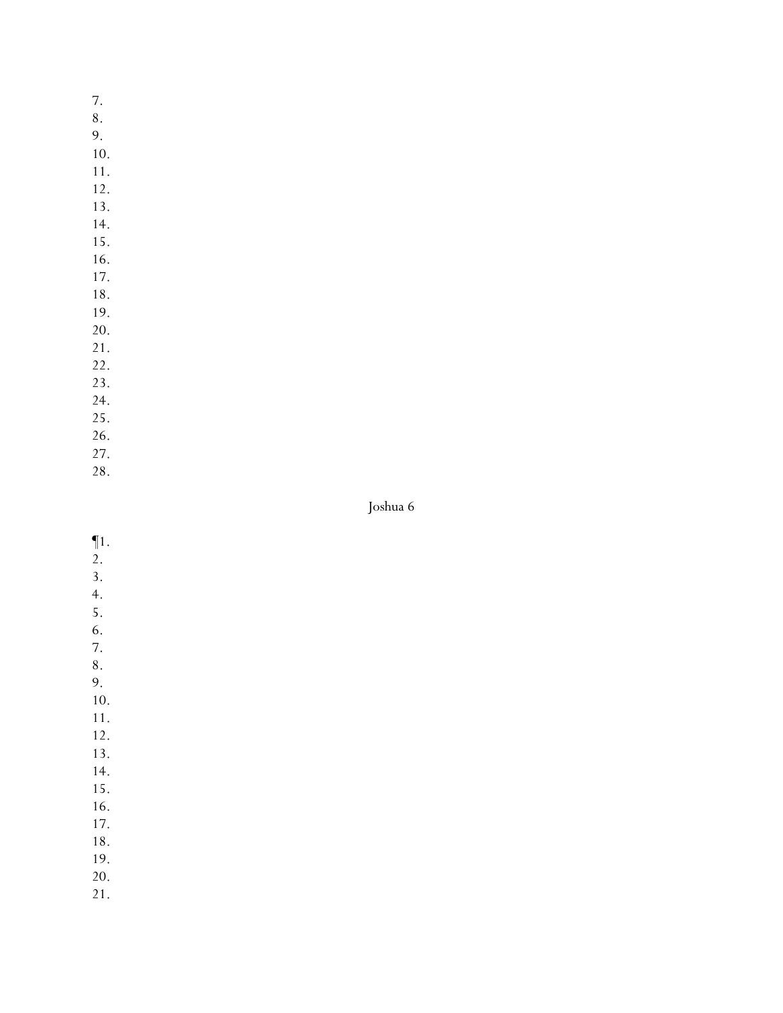- 8.
- 9.
- 10. 11.
- 12.
- 13.
- 14.
- 15.
- 16.
- 17.
- 18.
- 19.
- 20. 21.
- 22.
- 23.
- 24.
- 25.
- 26.
- 27.
- 28.

- ¶1.
- 2.
- 3.
- 4. 5.
- 6.
- 7.
- 8.
- 9.
- 10.
- 11.
- 12.
- 13. 14.
- 15.
- 16.
- 17.
- 18.
- 19.
- 20.
- 21.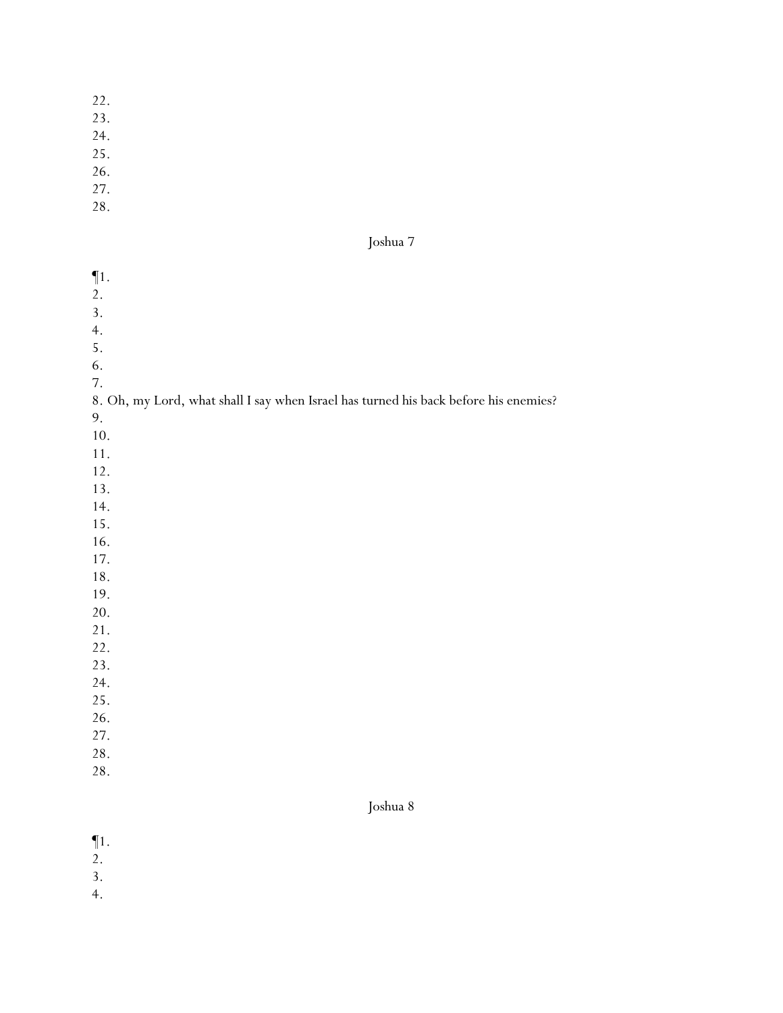- 22.
- 23.
- 24.
- 25.
- 26.
- 27.
- 28.

¶1. 2. 3. 4.

| $\P1.$<br>2.                                                                         |
|--------------------------------------------------------------------------------------|
| 3.                                                                                   |
| 4.                                                                                   |
| 5.                                                                                   |
| 6.                                                                                   |
| 7.                                                                                   |
| 8. Oh, my Lord, what shall I say when Israel has turned his back before his enemies? |
| 9.                                                                                   |
| $10.$                                                                                |
| $11.$                                                                                |
| 12.                                                                                  |
| 13.                                                                                  |
| 14.                                                                                  |
| 15.                                                                                  |
| 16.                                                                                  |
| 17.                                                                                  |
| 18.                                                                                  |
| 19.                                                                                  |
| 20.                                                                                  |
| 21.                                                                                  |
| 22.                                                                                  |
| 23.                                                                                  |
| 24.                                                                                  |
| 25.                                                                                  |
| 26.                                                                                  |
| 27.                                                                                  |
| 28.                                                                                  |
| 28.                                                                                  |
|                                                                                      |
| Joshua 8                                                                             |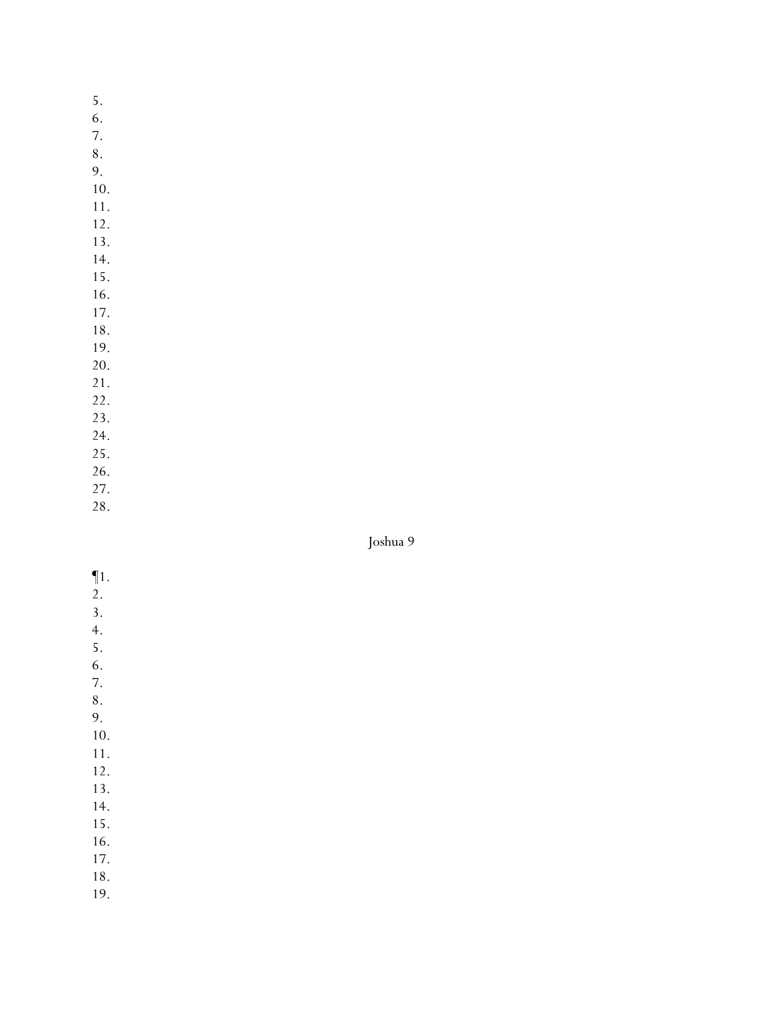- 6.
- 7.
- 8. 9.
- 10.
- 11.
- 12.
- 13.
- 14.
- 15.
- 16. 17.
- 18.
- 19.
- 20.
- 21.
- 22.
- 23.
- 24.
- 25.
- 26.
- 27.
- 28.

- ¶1.
- $\overline{2}$ .
- 3.
- 4. 5.
- 6.
- 7.
- 8.
- 9.
- 10.
- 11.
- 12.
- 13.
- 14. 15.
- 16.
- 17.
- 18.
- 19.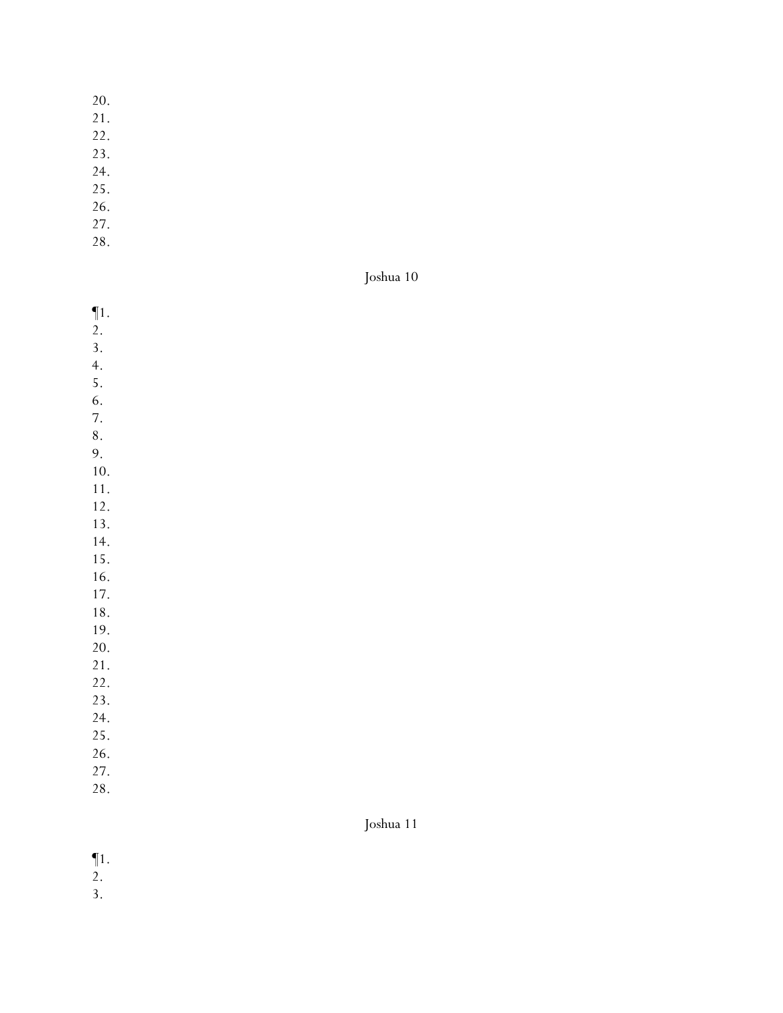- 20.
- 21.
- 22.
- 23.
- 24.
- 25.
- 26.
- 27.
- 28.

Joshua 10

- ¶1.
- 2.
- 3.
- 4.
- 5.
- 6. 7.
- 8.
- 9.
- 10.
- 11.
- 12. 13.
- 14.
- 15.
- 16.
- 17.
- 18.
- 19.
- 20. 21.
- 22.
- 23.
- 24.
- 25.
- 26.
- 27.
- 28.

- ¶1.
- 2.
- 3.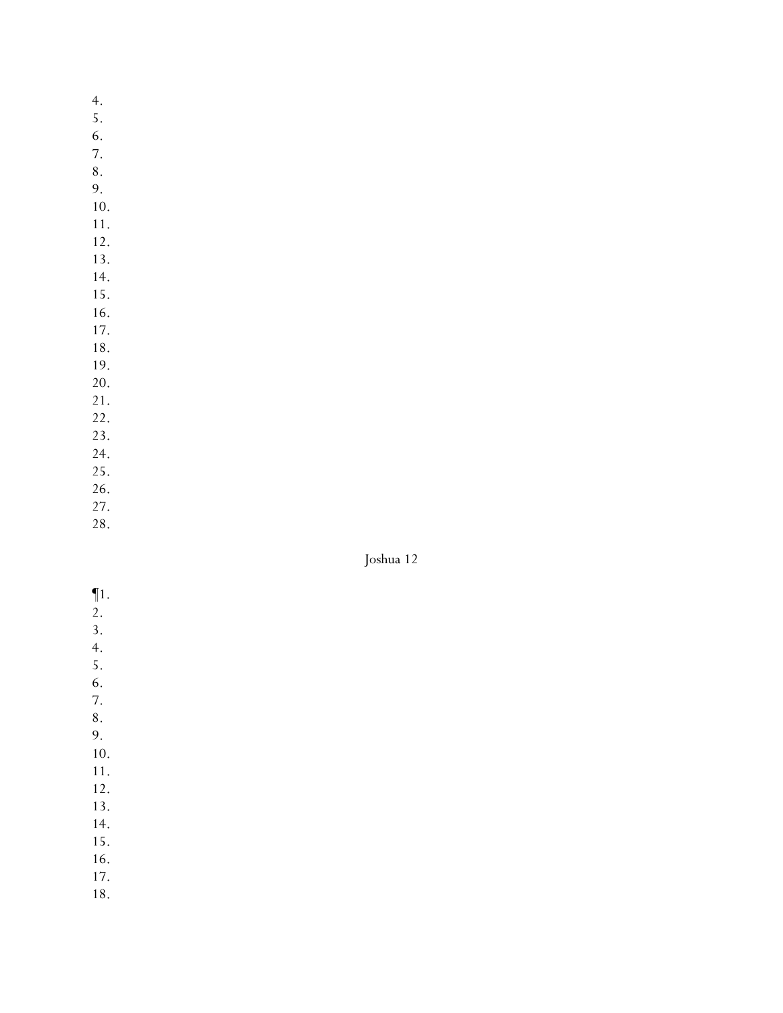- 4.
- 5.
- 6. 7.
- 8.
- 9.
- 10.
- 11.
- 12.
- 13.
- 14.
- 15. 16.
- 17.
- 18.
- 19.
- 20.
- 21.
- 22.
- 23.
- 24. 25.
- 26.
- 27.
- 28.

- $\P1$ .
- 2.
- 3.
- 4.
- 5. 6.
- 7.
- 8.
- 9.
- 10.
- 11.
- 12.
- 13.
- 14.
- 15.
- 16. 17.
- 18.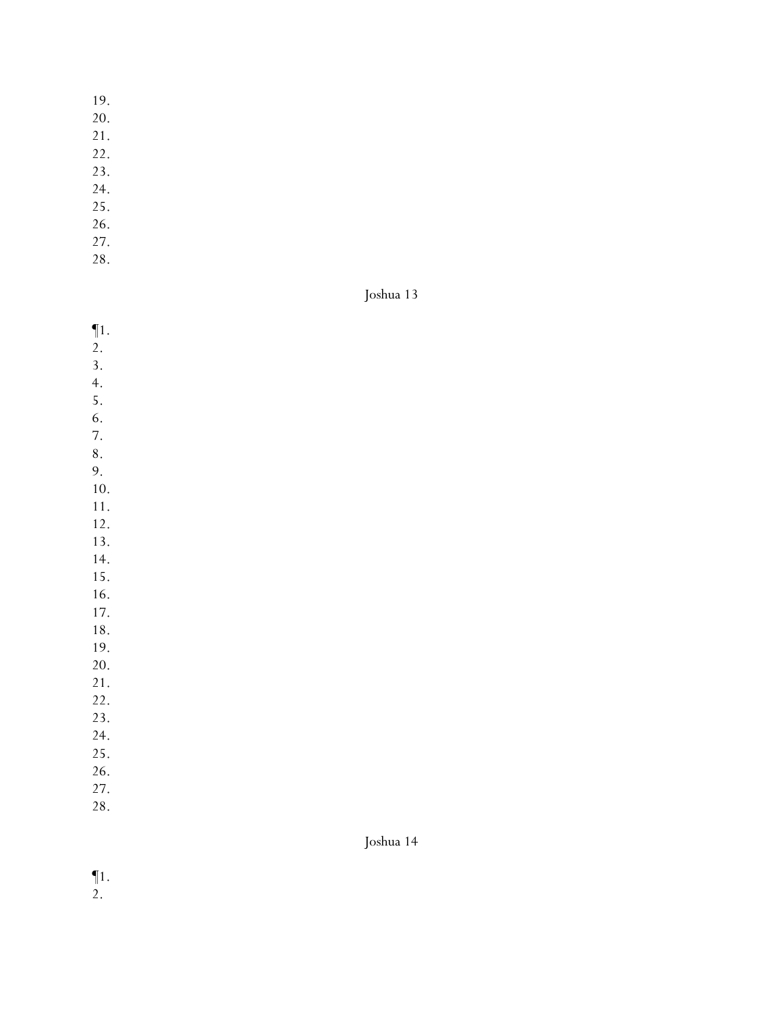- 19.
- 20.
- 21.
- 22.
- 23.
- 24.
- 25.
- 26. 27.
- 28.
- 

Joshua 13

¶1.

- 2. 3.
- 4.
- 5.
- 6.
- 7.
- 8. 9.
- 10.
- 11.

12.

- 13.
- 14. 15.
- 16.
- 17.
- 18.
- 19.
- 20.
- 21.
- 22. 23.
- 24.
- 25.
- 26.
- 27.
- 28.

- ¶1.
- 2.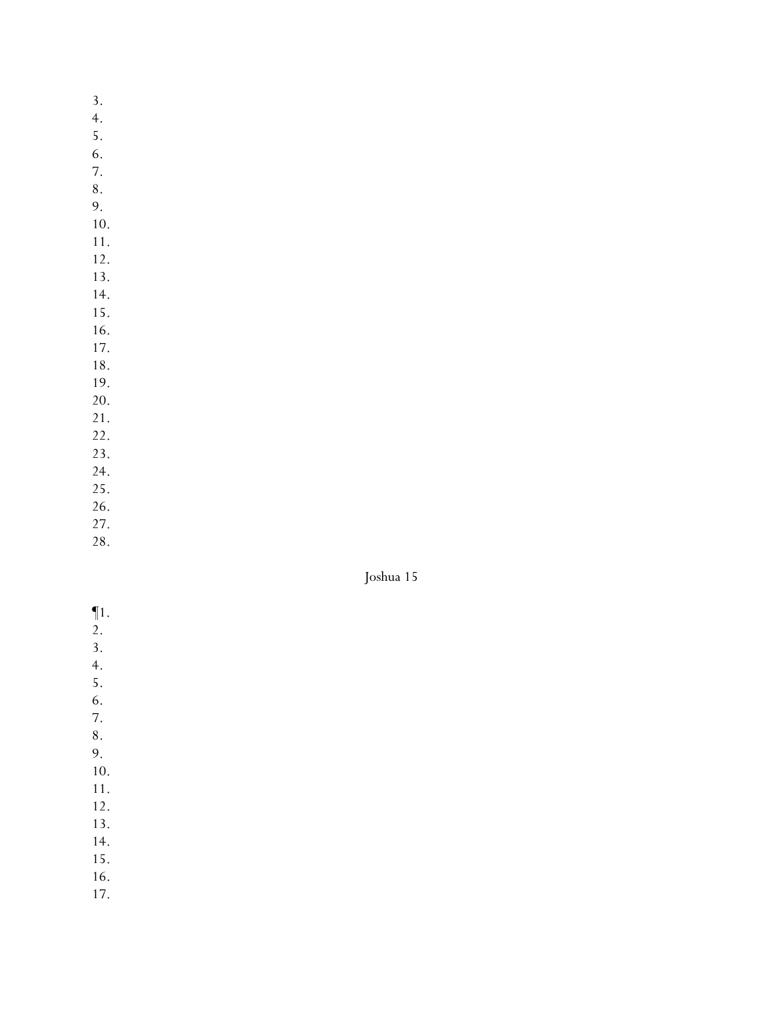- 3.
- 4.
- 5.
- 6. 7.
- 8.
- 9.
- 10.
- 11.
- 12.
- 13.
- 14.
- 15.
- 16.
- 17. 18.
- 19.
- 20.
- 21.
- 22.
- 23.
- 24.
- 25.
- 26.
- 27.
- 28.



- ¶1.
- 2. 3.
- 4.
- 5.
- 6.
- 7.
- 8.
- 9.
- 10.
- 11.
- 12. 13.
- 14.
- 15.
- 16.
- 17.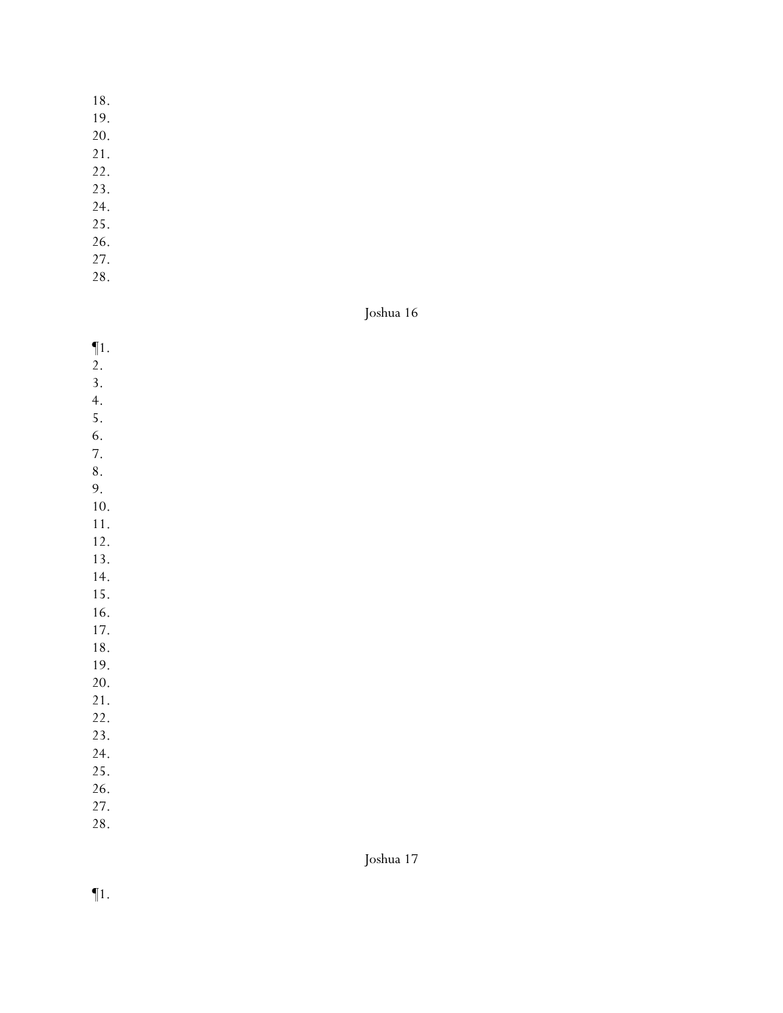- 18.
- 19.
- 20.
- 21.
- 22.
- 23.
- 24.
- 25. 26.
- 27.
- 28.

- ¶1.
- 2.
- 3.
- 4.
- 5. 6.
- 7.
- 8.
- 9.
- 10.
- 11. 12.
- 13.
- 14.
- 15.
- 16.
- 17.
- 18.
- 19. 20.
- 21.
- 22.
- 23.
- 24.
- 25.
- 26.
- 27. 28.
- 

Joshua 17

¶1.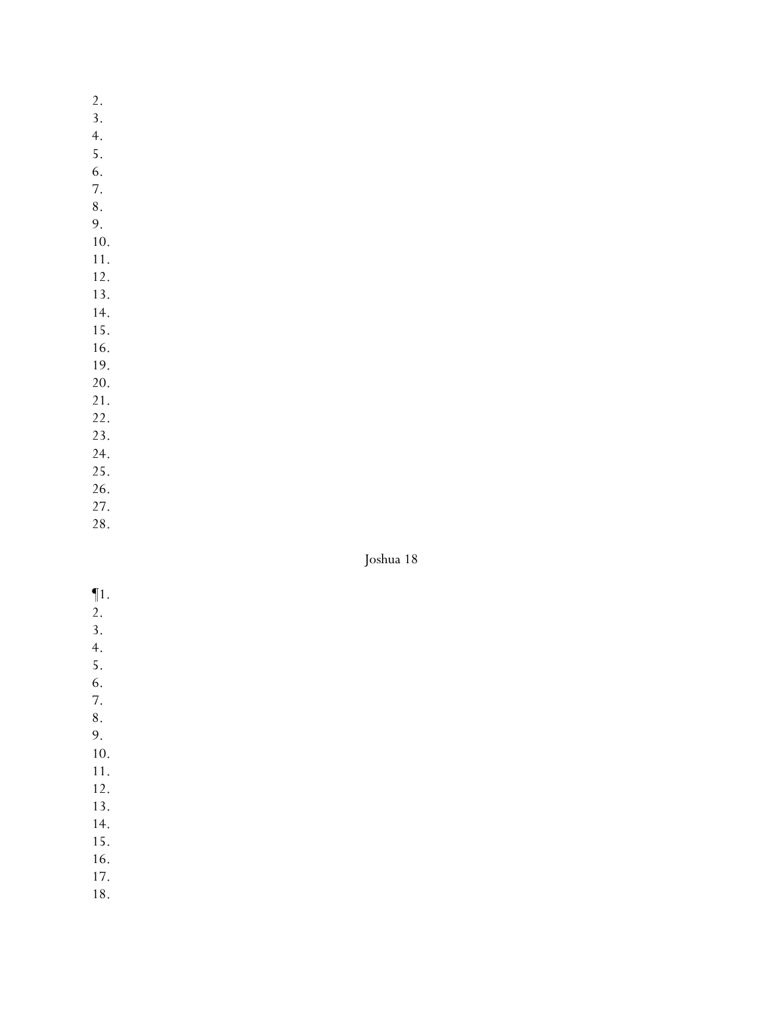- 2.
- 3.
- 4.
- 5. 6.
- 7.
- 8.
- 9.
- 10.
- 11.
- 12.
- 13. 14.
- 15.
- 16.
- 19.
- 20.
- 21.
- 22.
- 23.
- 24. 25.
- 26.
- 27.
- 28.

- ¶1.
- 2.
- 3.
- 4.
- 5. 6.
- 7.
- 8.
- 9.
- 10.
- 11. 12.
- 13.
- 14.
- 15.
- 16.
- 17.
- 18.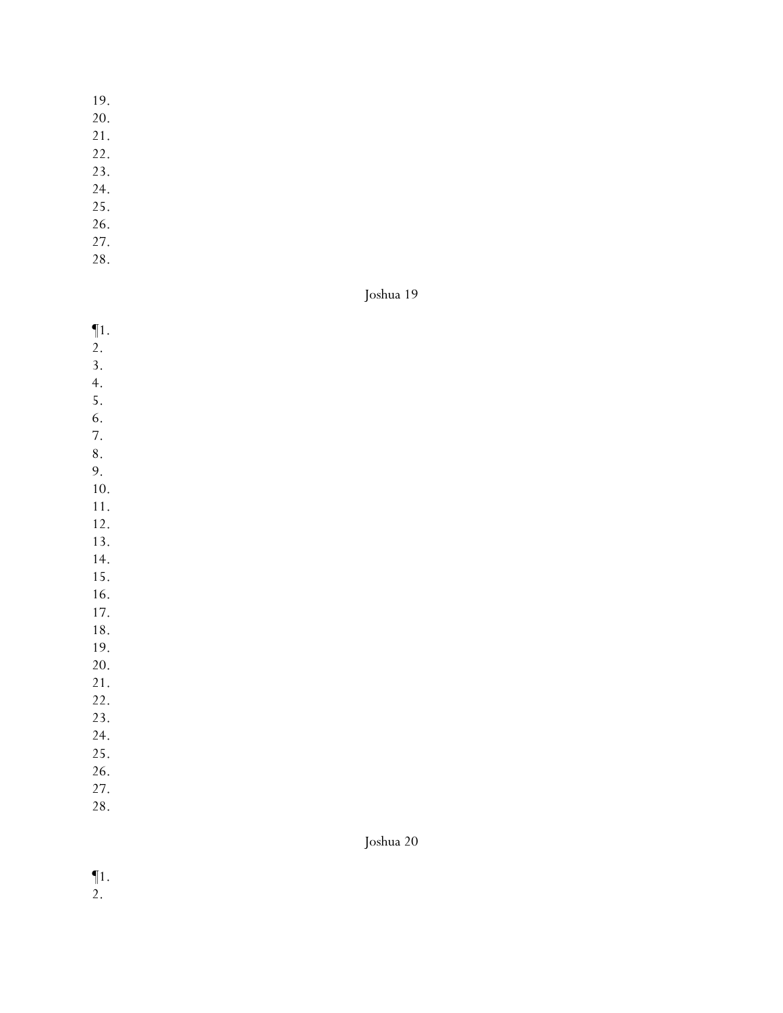- 19.
- 20.
- 21.
- 22.
- 23.
- 24.
- 25.
- 26.
- 27.
- 28.

Joshua 19

¶1.

- 2.
- 3. 4.
- 5.
- 6.
- 7.
- 8.
- 9.
- 10.
- 11. 12.

13.

- 14.
- 15.
- 16.
- 17. 18.
- 19.
- 20.
- 21.
- 22.
- 23.
- 24. 25.
- 26.
- 27.
- 28.

Joshua 20

¶1.

2.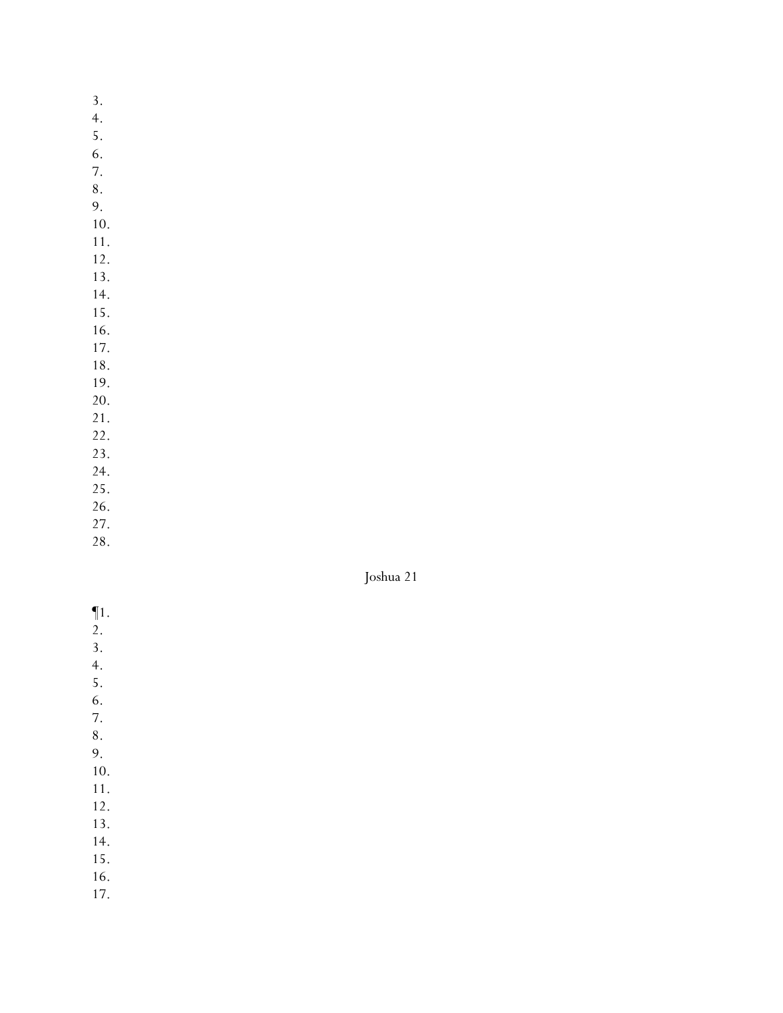- 3.
- 4.
- 5.
- 6. 7.
- 8.
- 9.
- 10.
- 11.
- 12.
- 13.
- 14.
- 15.
- 16.
- 17. 18.
- 19.
- 20.
- 21.
- 22.
- 23.
- 24.
- 25.
- 26.
- 27.
- 28.



- ¶1.
- 2. 3.
- 4.
- 5.
- 6.
- 7.
- 8.
- 9.
- 10.
- 11.
- 12. 13.
- 14.
- 15.
- 16.
- 17.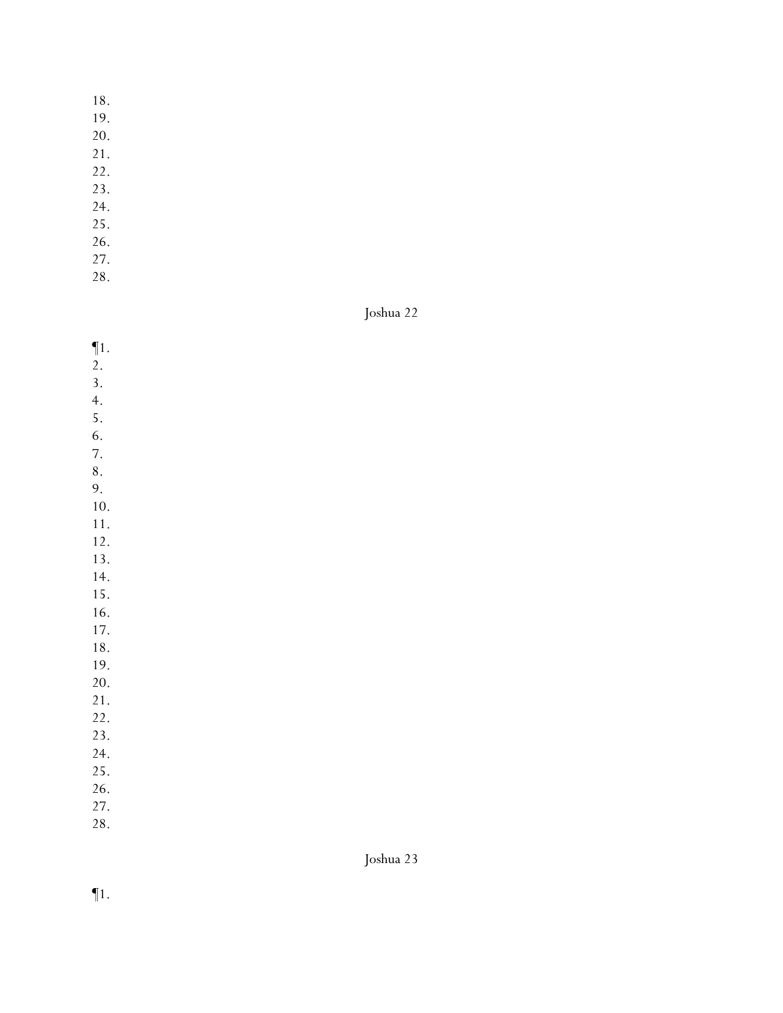- 18.
- 19.
- 20.
- 21.
- 22.
- 23.
- 24. 25.
- 26.
- 27.
- 28.

Joshua 22

- ¶1.
- 2.
- 3.
- 4. 5.
- 6.
- 7.
- 8.
- 9.
- 10. 11.
- 12.
- 13.
- 14.
- 15.
- 16.
- 17.
- 18. 19.
- 20.
- 21.
- 22.
- 23.
- 24.
- 25.
- 26. 27.
- 28.

¶1.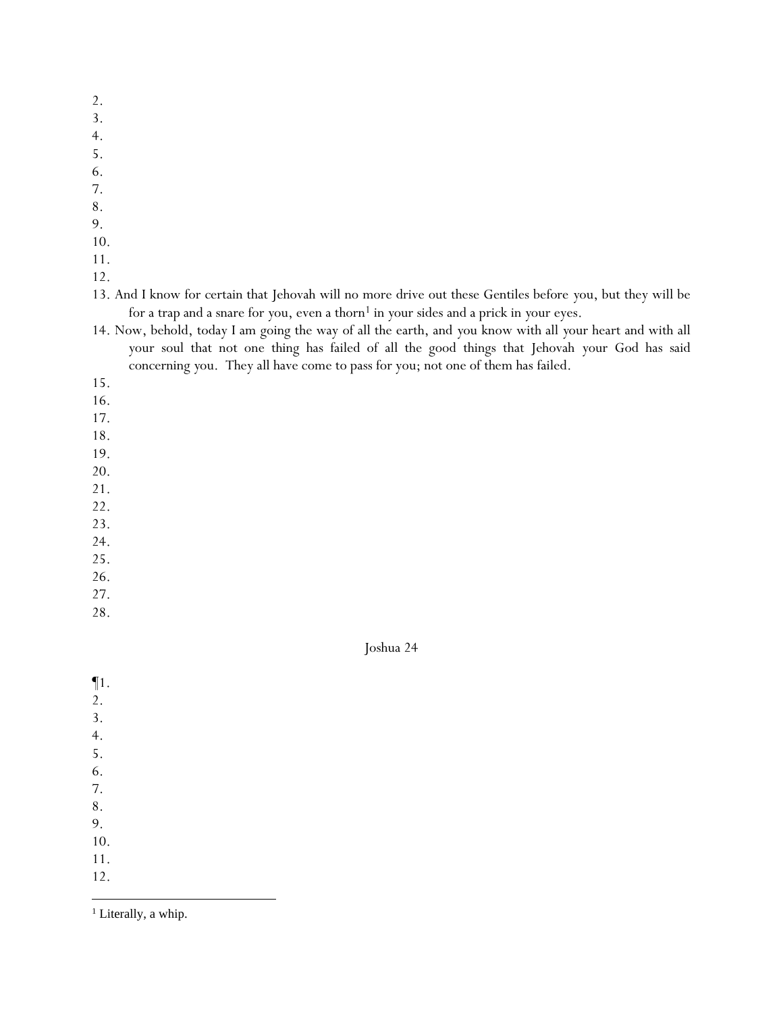- 2.
- 3.
- 4.
- 5.
- 6.
- 7.
- 8.
- 9.
- 10.
- 11.
- 12.
- 13. And I know for certain that Jehovah will no more drive out these Gentiles before *y*ou, but they will be for a trap and a snare for you, even a thorn<sup>1</sup> in your sides and a prick in your eyes.
- 14. Now, behold, today I am going the way of all the earth, and *y*ou know with all *y*our heart and with all *y*our soul that not one thing has failed of all the good things that Jehovah *y*our God has said concerning *y*ou. They all have come to pass for you; not one of them has failed.
- 15.
- 16.
- 17.
- 18.
- 19.
- 20.
- 21.
- 22.
- 23. 24.
- 25.
- 26.
- 27.
- 28.

- ¶1.
- 2.
- 3.
- 4.
- 5.
- 6.
- 7.

8.

9.

10.

11.

12.

<sup>1</sup> Literally, a whip.